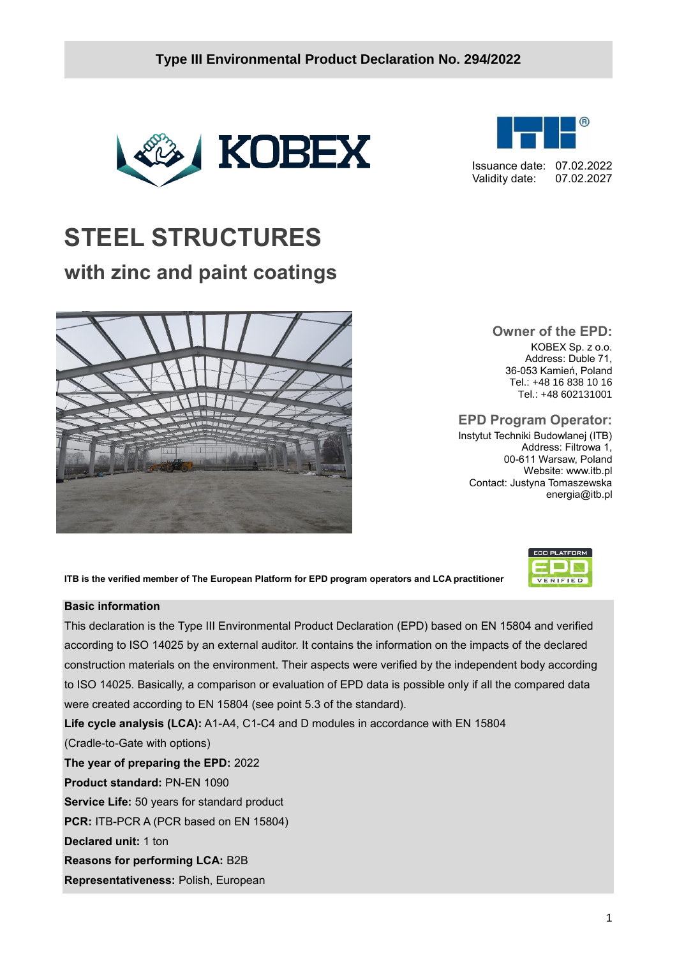

# **STEEL STRUCTURES**

## **with zinc and paint coatings**



**Owner of the EPD:** KOBEX Sp. z o.o. Address: Duble 71, 36-053 Kamień, Poland Tel.: +48 16 838 10 16 Tel.: +48 602131001

Issuance date: 07.02.2022 Validity date: 07.02.2027

**EPD Program Operator:**

Instytut Techniki Budowlanej (ITB) Address: Filtrowa 1, 00-611 Warsaw, Poland Website: www.itb.pl Contact: Justyna Tomaszewska energia@itb.pl

> $ECO$  PLATFORM **EXIST** VERIFIED

**ITB is the verified member of The European Platform for EPD program operators and LCA practitioner**

#### **Basic information**

This declaration is the Type III Environmental Product Declaration (EPD) based on EN 15804 and verified according to ISO 14025 by an external auditor. It contains the information on the impacts of the declared construction materials on the environment. Their aspects were verified by the independent body according to ISO 14025. Basically, a comparison or evaluation of EPD data is possible only if all the compared data were created according to EN 15804 (see point 5.3 of the standard).

**Life cycle analysis (LCA):** A1-A4, C1-C4 and D modules in accordance with EN 15804

(Cradle-to-Gate with options)

**The year of preparing the EPD:** 2022

**Product standard:** PN-EN 1090

**Service Life:** 50 years for standard product

**PCR:** ITB-PCR A (PCR based on EN 15804)

**Declared unit:** 1 ton

**Reasons for performing LCA:** B2B

**Representativeness:** Polish, European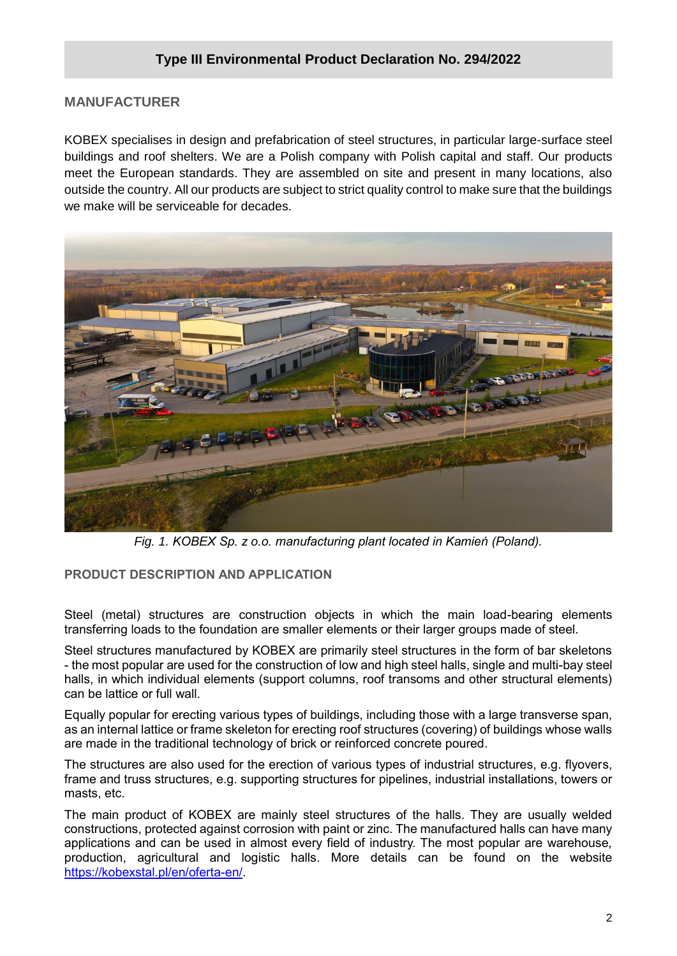#### **MANUFACTURER**

KOBEX specialises in design and prefabrication of steel structures, in particular large-surface steel buildings and roof shelters. We are a Polish company with Polish capital and staff. Our products meet the European standards. They are assembled on site and present in many locations, also outside the country. All our products are subject to strict quality control to make sure that the buildings we make will be serviceable for decades.



*Fig. 1. KOBEX Sp. z o.o. manufacturing plant located in Kamień (Poland).*

#### **PRODUCT DESCRIPTION AND APPLICATION**

Steel (metal) structures are construction objects in which the main load-bearing elements transferring loads to the foundation are smaller elements or their larger groups made of steel.

Steel structures manufactured by KOBEX are primarily steel structures in the form of bar skeletons - the most popular are used for the construction of low and high steel halls, single and multi-bay steel halls, in which individual elements (support columns, roof transoms and other structural elements) can be lattice or full wall.

Equally popular for erecting various types of buildings, including those with a large transverse span, as an internal lattice or frame skeleton for erecting roof structures (covering) of buildings whose walls are made in the traditional technology of brick or reinforced concrete poured.

The structures are also used for the erection of various types of industrial structures, e.g. flyovers, frame and truss structures, e.g. supporting structures for pipelines, industrial installations, towers or masts, etc.

The main product of KOBEX are mainly steel structures of the halls. They are usually welded constructions, protected against corrosion with paint or zinc. The manufactured halls can have many applications and can be used in almost every field of industry. The most popular are warehouse, production, agricultural and logistic halls. More details can be found on the website [https://kobexstal.pl/en/oferta-en/.](https://kobexstal.pl/en/oferta-en/)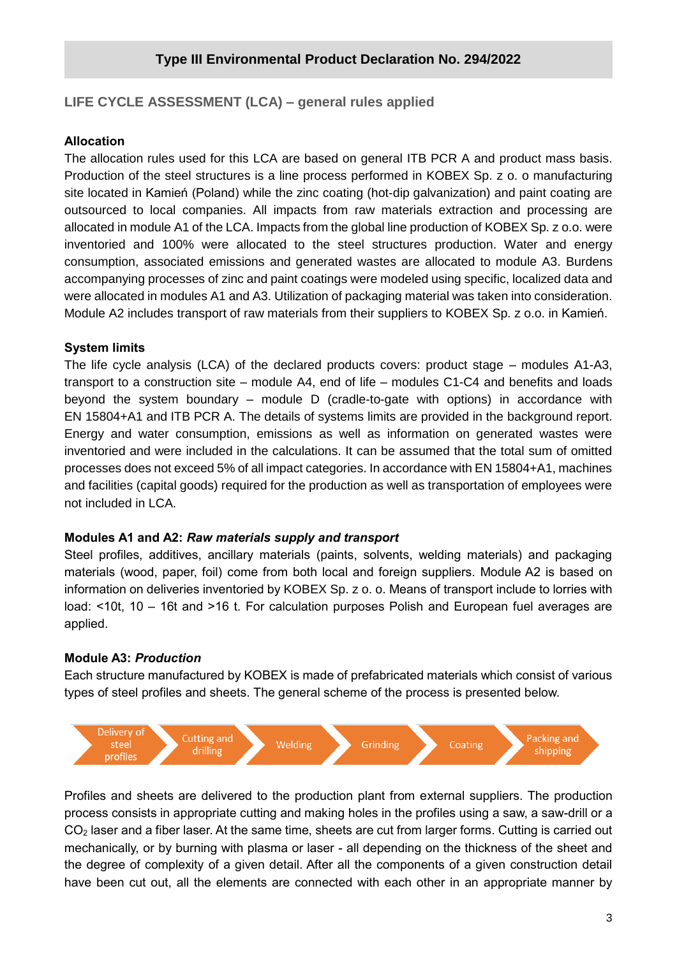#### **LIFE CYCLE ASSESSMENT (LCA) – general rules applied**

#### **Allocation**

The allocation rules used for this LCA are based on general ITB PCR A and product mass basis. Production of the steel structures is a line process performed in KOBEX Sp. z o. o manufacturing site located in Kamień (Poland) while the zinc coating (hot-dip galvanization) and paint coating are outsourced to local companies. All impacts from raw materials extraction and processing are allocated in module A1 of the LCA. Impacts from the global line production of KOBEX Sp. z o.o. were inventoried and 100% were allocated to the steel structures production. Water and energy consumption, associated emissions and generated wastes are allocated to module A3. Burdens accompanying processes of zinc and paint coatings were modeled using specific, localized data and were allocated in modules A1 and A3. Utilization of packaging material was taken into consideration. Module A2 includes transport of raw materials from their suppliers to KOBEX Sp. z o.o. in Kamień.

#### **System limits**

The life cycle analysis (LCA) of the declared products covers: product stage – modules A1-A3, transport to a construction site – module A4, end of life – modules C1-C4 and benefits and loads beyond the system boundary – module D (cradle-to-gate with options) in accordance with EN 15804+A1 and ITB PCR A. The details of systems limits are provided in the background report. Energy and water consumption, emissions as well as information on generated wastes were inventoried and were included in the calculations. It can be assumed that the total sum of omitted processes does not exceed 5% of all impact categories. In accordance with EN 15804+A1, machines and facilities (capital goods) required for the production as well as transportation of employees were not included in LCA.

#### **Modules A1 and A2:** *Raw materials supply and transport*

Steel profiles, additives, ancillary materials (paints, solvents, welding materials) and packaging materials (wood, paper, foil) come from both local and foreign suppliers. Module A2 is based on information on deliveries inventoried by KOBEX Sp. z o. o. Means of transport include to lorries with load: <10t, 10 – 16t and >16 t. For calculation purposes Polish and European fuel averages are applied.

#### **Module A3:** *Production*

Each structure manufactured by KOBEX is made of prefabricated materials which consist of various types of steel profiles and sheets. The general scheme of the process is presented below.



Profiles and sheets are delivered to the production plant from external suppliers. The production process consists in appropriate cutting and making holes in the profiles using a saw, a saw-drill or a CO<sup>2</sup> laser and a fiber laser. At the same time, sheets are cut from larger forms. Cutting is carried out mechanically, or by burning with plasma or laser - all depending on the thickness of the sheet and the degree of complexity of a given detail. After all the components of a given construction detail have been cut out, all the elements are connected with each other in an appropriate manner by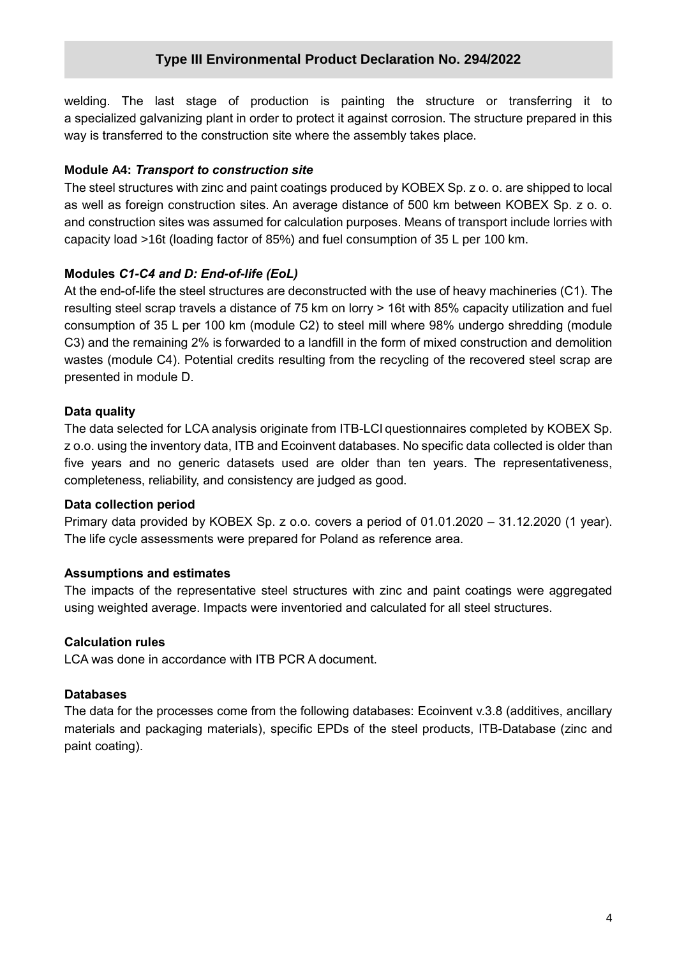welding. The last stage of production is painting the structure or transferring it to a specialized galvanizing plant in order to protect it against corrosion. The structure prepared in this way is transferred to the construction site where the assembly takes place.

#### **Module A4:** *Transport to construction site*

The steel structures with zinc and paint coatings produced by KOBEX Sp. z o. o. are shipped to local as well as foreign construction sites. An average distance of 500 km between KOBEX Sp. z o. o. and construction sites was assumed for calculation purposes. Means of transport include lorries with capacity load >16t (loading factor of 85%) and fuel consumption of 35 L per 100 km.

#### **Modules** *C1-C4 and D: End-of-life (EoL)*

At the end-of-life the steel structures are deconstructed with the use of heavy machineries (C1). The resulting steel scrap travels a distance of 75 km on lorry > 16t with 85% capacity utilization and fuel consumption of 35 L per 100 km (module C2) to steel mill where 98% undergo shredding (module C3) and the remaining 2% is forwarded to a landfill in the form of mixed construction and demolition wastes (module C4). Potential credits resulting from the recycling of the recovered steel scrap are presented in module D.

#### **Data quality**

The data selected for LCA analysis originate from ITB-LCI questionnaires completed by KOBEX Sp. z o.o. using the inventory data, ITB and Ecoinvent databases. No specific data collected is older than five years and no generic datasets used are older than ten years. The representativeness, completeness, reliability, and consistency are judged as good.

#### **Data collection period**

Primary data provided by KOBEX Sp. z o.o. covers a period of 01.01.2020 – 31.12.2020 (1 year). The life cycle assessments were prepared for Poland as reference area.

#### **Assumptions and estimates**

The impacts of the representative steel structures with zinc and paint coatings were aggregated using weighted average. Impacts were inventoried and calculated for all steel structures.

#### **Calculation rules**

LCA was done in accordance with ITB PCR A document.

#### **Databases**

The data for the processes come from the following databases: Ecoinvent v.3.8 (additives, ancillary materials and packaging materials), specific EPDs of the steel products, ITB-Database (zinc and paint coating).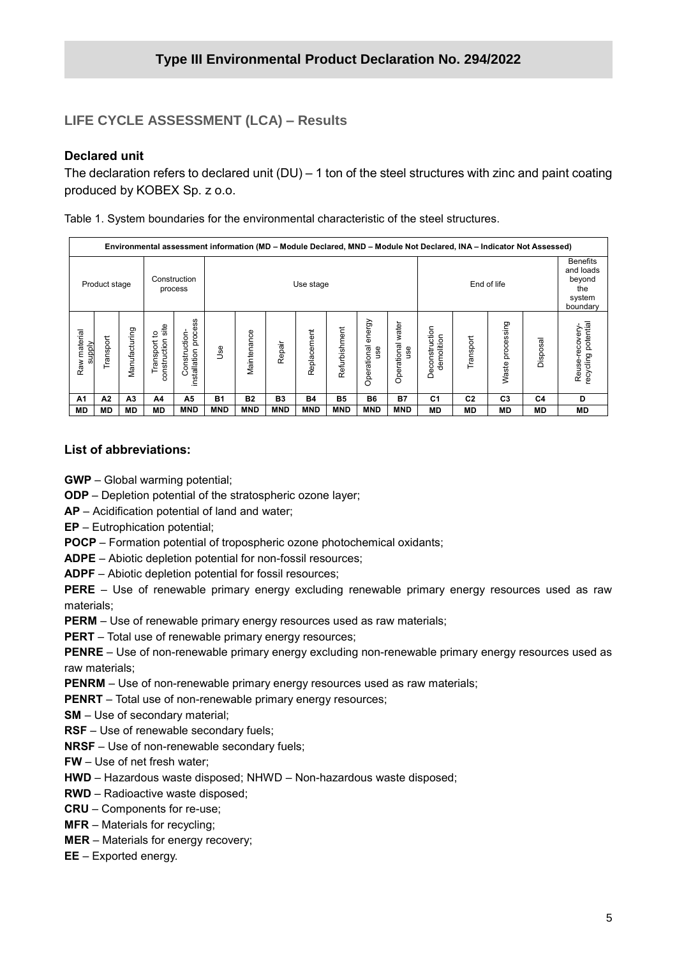#### **LIFE CYCLE ASSESSMENT (LCA) – Results**

#### **Declared unit**

The declaration refers to declared unit (DU) – 1 ton of the steel structures with zinc and paint coating produced by KOBEX Sp. z o.o.

Table 1. System boundaries for the environmental characteristic of the steel structures.

|                        | Environmental assessment information (MD – Module Declared, MND – Module Not Declared, INA – Indicator Not Assessed) |                |                                               |                                      |            |             |            |             |                |                              |                                    |                              |                |                     |           |                                                                     |
|------------------------|----------------------------------------------------------------------------------------------------------------------|----------------|-----------------------------------------------|--------------------------------------|------------|-------------|------------|-------------|----------------|------------------------------|------------------------------------|------------------------------|----------------|---------------------|-----------|---------------------------------------------------------------------|
|                        | Product stage                                                                                                        |                |                                               | Construction<br>process              |            | Use stage   |            |             |                |                              |                                    | End of life                  |                |                     |           | <b>Benefits</b><br>and loads<br>beyond<br>the<br>system<br>boundary |
| Raw material<br>ylddns | Transport                                                                                                            | Manufacturing  | site<br>đ<br><b>ponstruction</b><br>Transport | installation process<br>Construction | <u>وي</u>  | Maintenance | Repair     | Replacement | Refurbishment  | energy<br>Operational<br>use | water<br>Operational<br><b>gsu</b> | Deconstruction<br>demolition | Transport      | processing<br>Waste | Disposal  | recycling potential<br>Reuse-recovery                               |
| A <sub>1</sub>         | A2                                                                                                                   | A <sub>3</sub> | A4                                            | A5                                   | <b>B1</b>  | <b>B2</b>   | <b>B3</b>  | <b>B4</b>   | B <sub>5</sub> | <b>B6</b>                    | <b>B7</b>                          | C <sub>1</sub>               | C <sub>2</sub> | C <sub>3</sub>      | C4        | D                                                                   |
| MD                     | <b>MD</b>                                                                                                            | <b>MD</b>      | <b>MD</b>                                     | <b>MND</b>                           | <b>MND</b> | <b>MND</b>  | <b>MND</b> | <b>MND</b>  | <b>MND</b>     | <b>MND</b>                   | <b>MND</b>                         | MD                           | MD             | MD                  | <b>MD</b> | MD                                                                  |

#### **List of abbreviations:**

**GWP** – Global warming potential;

**ODP** – Depletion potential of the stratospheric ozone layer;

**AP** – Acidification potential of land and water;

**EP** – Eutrophication potential;

**POCP** – Formation potential of tropospheric ozone photochemical oxidants;

**ADPE** – Abiotic depletion potential for non-fossil resources;

**ADPF** – Abiotic depletion potential for fossil resources;

**PERE** – Use of renewable primary energy excluding renewable primary energy resources used as raw materials;

**PERM** – Use of renewable primary energy resources used as raw materials;

**PERT** – Total use of renewable primary energy resources;

**PENRE** – Use of non-renewable primary energy excluding non-renewable primary energy resources used as raw materials;

**PENRM** – Use of non-renewable primary energy resources used as raw materials;

**PENRT** – Total use of non-renewable primary energy resources;

**SM** – Use of secondary material;

**RSF** – Use of renewable secondary fuels;

**NRSF** – Use of non-renewable secondary fuels;

**FW** – Use of net fresh water;

**HWD** – Hazardous waste disposed; NHWD – Non-hazardous waste disposed;

**RWD** – Radioactive waste disposed;

**CRU** – Components for re-use;

**MFR** – Materials for recycling;

**MER** – Materials for energy recovery;

**EE** – Exported energy.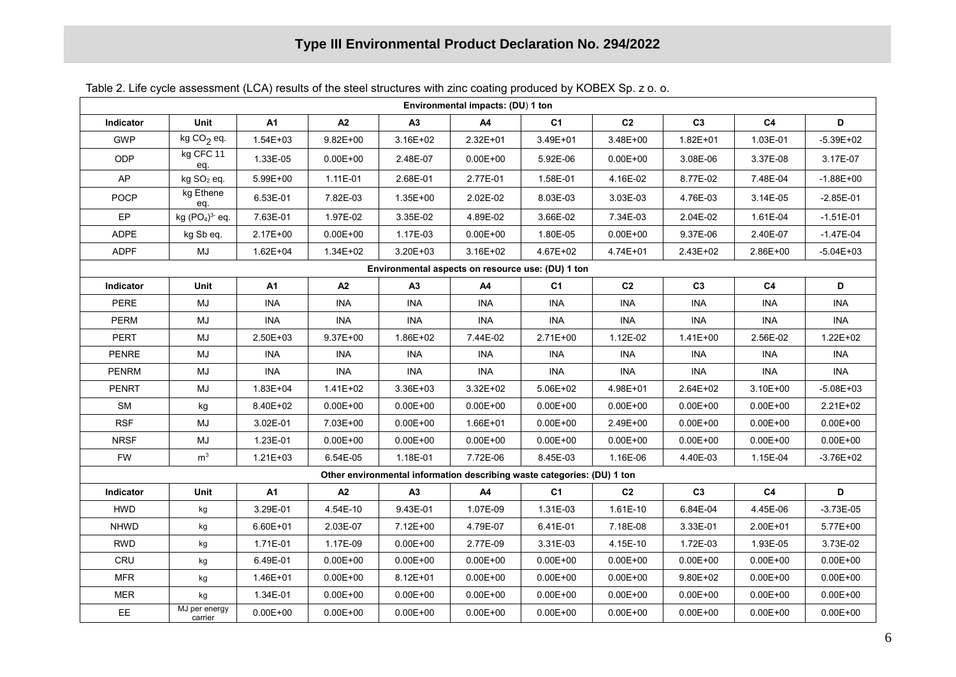| Environmental impacts: (DU) 1 ton                 |                          |              |              |              |                                                                         |                |                |                |                |               |
|---------------------------------------------------|--------------------------|--------------|--------------|--------------|-------------------------------------------------------------------------|----------------|----------------|----------------|----------------|---------------|
| Indicator                                         | Unit                     | <b>A1</b>    | A2           | А3           | A4                                                                      | C <sub>1</sub> | C <sub>2</sub> | C <sub>3</sub> | C <sub>4</sub> | D             |
| <b>GWP</b>                                        | kg $CO2$ eq.             | $1.54E + 03$ | $9.82E + 00$ | 3.16E+02     | 2.32E+01                                                                | 3.49E+01       | 3.48E+00       | $1.82E + 01$   | 1.03E-01       | $-5.39E + 02$ |
| <b>ODP</b>                                        | kg CFC 11<br>eq.         | 1.33E-05     | $0.00E + 00$ | 2.48E-07     | $0.00E + 00$                                                            | 5.92E-06       | $0.00E + 00$   | 3.08E-06       | 3.37E-08       | 3.17E-07      |
| AP                                                | kg SO <sub>2</sub> eq.   | 5.99E+00     | 1.11E-01     | 2.68E-01     | 2.77E-01                                                                | 1.58E-01       | 4.16E-02       | 8.77E-02       | 7.48E-04       | $-1.88E + 00$ |
| <b>POCP</b>                                       | kg Ethene<br>eq.         | 6.53E-01     | 7.82E-03     | $1.35E + 00$ | 2.02E-02                                                                | 8.03E-03       | 3.03E-03       | 4.76E-03       | 3.14E-05       | $-2.85E-01$   |
| EP                                                | kg $(PO4)3$ eq.          | 7.63E-01     | 1.97E-02     | 3.35E-02     | 4.89E-02                                                                | 3.66E-02       | 7.34E-03       | 2.04E-02       | 1.61E-04       | $-1.51E-01$   |
| <b>ADPE</b>                                       | kg Sb eq.                | 2.17E+00     | $0.00E + 00$ | 1.17E-03     | $0.00E + 00$                                                            | 1.80E-05       | $0.00E + 00$   | 9.37E-06       | 2.40E-07       | $-1.47E-04$   |
| <b>ADPF</b>                                       | $\mathsf{MJ}$            | $1.62E + 04$ | 1.34E+02     | 3.20E+03     | 3.16E+02                                                                | 4.67E+02       | 4.74E+01       | 2.43E+02       | 2.86E+00       | $-5.04E + 03$ |
| Environmental aspects on resource use: (DU) 1 ton |                          |              |              |              |                                                                         |                |                |                |                |               |
| Indicator                                         | Unit                     | <b>A1</b>    | A2           | А3           | A4                                                                      | C <sub>1</sub> | C <sub>2</sub> | C <sub>3</sub> | C <sub>4</sub> | D             |
| <b>PERE</b>                                       | MJ                       | <b>INA</b>   | <b>INA</b>   | <b>INA</b>   | <b>INA</b>                                                              | <b>INA</b>     | <b>INA</b>     | <b>INA</b>     | <b>INA</b>     | <b>INA</b>    |
| <b>PERM</b>                                       | MJ                       | <b>INA</b>   | <b>INA</b>   | <b>INA</b>   | <b>INA</b>                                                              | <b>INA</b>     | INA            | INA            | <b>INA</b>     | <b>INA</b>    |
| PERT                                              | MJ                       | 2.50E+03     | $9.37E + 00$ | 1.86E+02     | 7.44E-02                                                                | 2.71E+00       | 1.12E-02       | $1.41E + 00$   | 2.56E-02       | 1.22E+02      |
| PENRE                                             | MJ                       | <b>INA</b>   | <b>INA</b>   | <b>INA</b>   | <b>INA</b>                                                              | <b>INA</b>     | <b>INA</b>     | <b>INA</b>     | <b>INA</b>     | <b>INA</b>    |
| <b>PENRM</b>                                      | MJ                       | <b>INA</b>   | INA          | <b>INA</b>   | <b>INA</b>                                                              | INA            | <b>INA</b>     | <b>INA</b>     | INA            | <b>INA</b>    |
| <b>PENRT</b>                                      | MJ                       | 1.83E+04     | 1.41E+02     | 3.36E+03     | 3.32E+02                                                                | 5.06E+02       | 4.98E+01       | 2.64E+02       | 3.10E+00       | $-5.08E + 03$ |
| SM                                                | kg                       | 8.40E+02     | $0.00E + 00$ | $0.00E + 00$ | $0.00E + 00$                                                            | $0.00E + 00$   | $0.00E + 00$   | $0.00E + 00$   | $0.00E + 00$   | 2.21E+02      |
| <b>RSF</b>                                        | MJ                       | 3.02E-01     | 7.03E+00     | $0.00E + 00$ | 1.66E+01                                                                | $0.00E + 00$   | 2.49E+00       | $0.00E + 00$   | $0.00E + 00$   | $0.00E + 00$  |
| <b>NRSF</b>                                       | MJ                       | 1.23E-01     | $0.00E + 00$ | $0.00E + 00$ | $0.00E + 00$                                                            | $0.00E + 00$   | $0.00E + 00$   | $0.00E + 00$   | $0.00E + 00$   | $0.00E + 00$  |
| <b>FW</b>                                         | m <sup>3</sup>           | $1.21E + 03$ | 6.54E-05     | 1.18E-01     | 7.72E-06                                                                | 8.45E-03       | 1.16E-06       | 4.40E-03       | 1.15E-04       | $-3.76E + 02$ |
|                                                   |                          |              |              |              | Other environmental information describing waste categories: (DU) 1 ton |                |                |                |                |               |
| Indicator                                         | Unit                     | <b>A1</b>    | A2           | A3           | A4                                                                      | C <sub>1</sub> | C <sub>2</sub> | C <sub>3</sub> | C <sub>4</sub> | D             |
| <b>HWD</b>                                        | kg                       | 3.29E-01     | 4.54E-10     | 9.43E-01     | 1.07E-09                                                                | 1.31E-03       | 1.61E-10       | 6.84E-04       | 4.45E-06       | $-3.73E-05$   |
| <b>NHWD</b>                                       | kg                       | $6.60E + 01$ | 2.03E-07     | 7.12E+00     | 4.79E-07                                                                | 6.41E-01       | 7.18E-08       | 3.33E-01       | 2.00E+01       | 5.77E+00      |
| <b>RWD</b>                                        | kg                       | 1.71E-01     | 1.17E-09     | $0.00E + 00$ | 2.77E-09                                                                | 3.31E-03       | 4.15E-10       | 1.72E-03       | 1.93E-05       | 3.73E-02      |
| CRU                                               | kg                       | 6.49E-01     | $0.00E + 00$ | $0.00E + 00$ | $0.00E + 00$                                                            | $0.00E + 00$   | $0.00E + 00$   | $0.00E + 00$   | $0.00E + 00$   | $0.00E + 00$  |
| <b>MFR</b>                                        | kg                       | 1.46E+01     | $0.00E + 00$ | 8.12E+01     | $0.00E + 00$                                                            | $0.00E + 00$   | $0.00E + 00$   | 9.80E+02       | $0.00E + 00$   | $0.00E + 00$  |
| <b>MER</b>                                        | kg                       | 1.34E-01     | $0.00E + 00$ | $0.00E + 00$ | $0.00E + 00$                                                            | $0.00E + 00$   | $0.00E + 00$   | $0.00E + 00$   | $0.00E + 00$   | $0.00E + 00$  |
| EE                                                | MJ per energy<br>carrier | $0.00E + 00$ | $0.00E + 00$ | $0.00E + 00$ | $0.00E + 00$                                                            | $0.00E + 00$   | $0.00E + 00$   | $0.00E + 00$   | $0.00E + 00$   | $0.00E + 00$  |

Table 2. Life cycle assessment (LCA) results of the steel structures with zinc coating produced by KOBEX Sp. z o. o.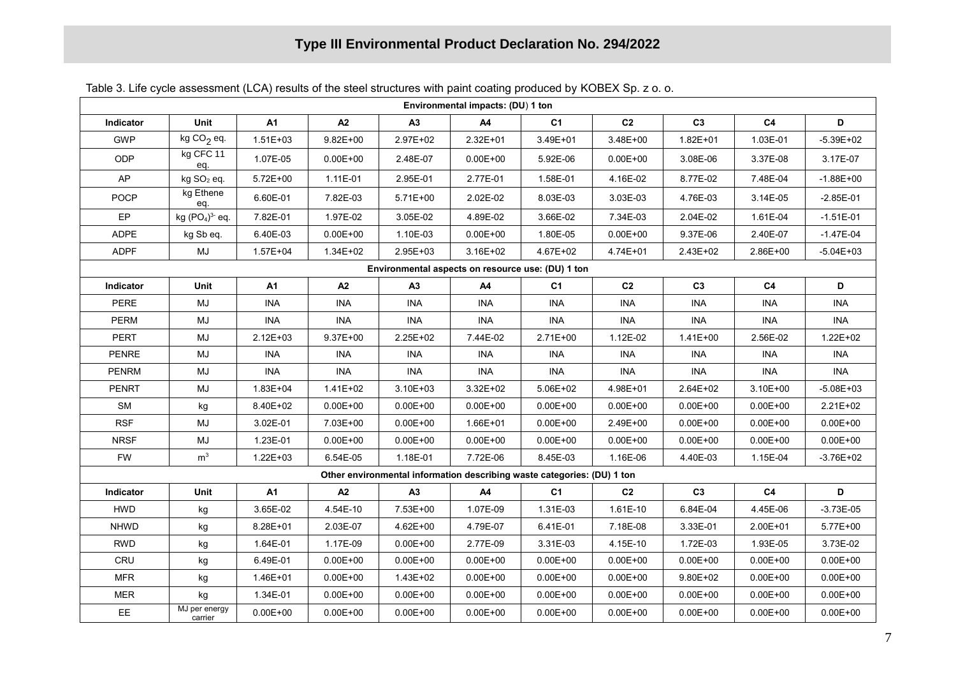| Environmental impacts: (DU) 1 ton                 |                          |              |              |              |                                                                         |                |                |                |                |               |
|---------------------------------------------------|--------------------------|--------------|--------------|--------------|-------------------------------------------------------------------------|----------------|----------------|----------------|----------------|---------------|
| Indicator                                         | Unit                     | <b>A1</b>    | A2           | А3           | A4                                                                      | C <sub>1</sub> | C <sub>2</sub> | C <sub>3</sub> | C <sub>4</sub> | D             |
| <b>GWP</b>                                        | kg $CO2$ eq.             | $1.51E + 03$ | $9.82E + 00$ | 2.97E+02     | 2.32E+01                                                                | 3.49E+01       | 3.48E+00       | $1.82E + 01$   | 1.03E-01       | $-5.39E + 02$ |
| <b>ODP</b>                                        | kg CFC 11<br>eq.         | 1.07E-05     | $0.00E + 00$ | 2.48E-07     | $0.00E + 00$                                                            | 5.92E-06       | $0.00E + 00$   | 3.08E-06       | 3.37E-08       | 3.17E-07      |
| AP                                                | kg SO <sub>2</sub> eq.   | $5.72E + 00$ | 1.11E-01     | 2.95E-01     | 2.77E-01                                                                | 1.58E-01       | 4.16E-02       | 8.77E-02       | 7.48E-04       | $-1.88E + 00$ |
| <b>POCP</b>                                       | kg Ethene<br>eq.         | 6.60E-01     | 7.82E-03     | 5.71E+00     | 2.02E-02                                                                | 8.03E-03       | 3.03E-03       | 4.76E-03       | 3.14E-05       | $-2.85E-01$   |
| EP                                                | kg $(PO4)3$ eq.          | 7.82E-01     | 1.97E-02     | 3.05E-02     | 4.89E-02                                                                | 3.66E-02       | 7.34E-03       | 2.04E-02       | 1.61E-04       | $-1.51E-01$   |
| <b>ADPE</b>                                       | kg Sb eq.                | 6.40E-03     | $0.00E + 00$ | 1.10E-03     | $0.00E + 00$                                                            | 1.80E-05       | $0.00E + 00$   | 9.37E-06       | 2.40E-07       | $-1.47E-04$   |
| <b>ADPF</b>                                       | $\mathsf{MJ}$            | $1.57E + 04$ | 1.34E+02     | 2.95E+03     | 3.16E+02                                                                | 4.67E+02       | 4.74E+01       | 2.43E+02       | 2.86E+00       | $-5.04E + 03$ |
| Environmental aspects on resource use: (DU) 1 ton |                          |              |              |              |                                                                         |                |                |                |                |               |
| Indicator                                         | Unit                     | <b>A1</b>    | A2           | А3           | A4                                                                      | C <sub>1</sub> | C <sub>2</sub> | C <sub>3</sub> | C <sub>4</sub> | D             |
| <b>PERE</b>                                       | MJ                       | <b>INA</b>   | <b>INA</b>   | <b>INA</b>   | <b>INA</b>                                                              | <b>INA</b>     | <b>INA</b>     | <b>INA</b>     | <b>INA</b>     | <b>INA</b>    |
| <b>PERM</b>                                       | MJ                       | <b>INA</b>   | <b>INA</b>   | <b>INA</b>   | <b>INA</b>                                                              | <b>INA</b>     | INA            | INA            | <b>INA</b>     | <b>INA</b>    |
| PERT                                              | MJ                       | $2.12E + 03$ | $9.37E + 00$ | 2.25E+02     | 7.44E-02                                                                | 2.71E+00       | 1.12E-02       | $1.41E + 00$   | 2.56E-02       | 1.22E+02      |
| PENRE                                             | MJ                       | <b>INA</b>   | <b>INA</b>   | <b>INA</b>   | <b>INA</b>                                                              | <b>INA</b>     | <b>INA</b>     | <b>INA</b>     | <b>INA</b>     | <b>INA</b>    |
| <b>PENRM</b>                                      | MJ                       | <b>INA</b>   | INA          | <b>INA</b>   | <b>INA</b>                                                              | INA            | <b>INA</b>     | <b>INA</b>     | INA            | <b>INA</b>    |
| <b>PENRT</b>                                      | MJ                       | 1.83E+04     | 1.41E+02     | 3.10E+03     | 3.32E+02                                                                | 5.06E+02       | 4.98E+01       | 2.64E+02       | 3.10E+00       | $-5.08E + 03$ |
| SM                                                | kg                       | 8.40E+02     | $0.00E + 00$ | $0.00E + 00$ | $0.00E + 00$                                                            | $0.00E + 00$   | $0.00E + 00$   | $0.00E + 00$   | $0.00E + 00$   | 2.21E+02      |
| <b>RSF</b>                                        | MJ                       | 3.02E-01     | 7.03E+00     | $0.00E + 00$ | 1.66E+01                                                                | $0.00E + 00$   | 2.49E+00       | $0.00E + 00$   | $0.00E + 00$   | $0.00E + 00$  |
| <b>NRSF</b>                                       | MJ                       | 1.23E-01     | $0.00E + 00$ | $0.00E + 00$ | $0.00E + 00$                                                            | $0.00E + 00$   | $0.00E + 00$   | $0.00E + 00$   | $0.00E + 00$   | $0.00E + 00$  |
| <b>FW</b>                                         | m <sup>3</sup>           | 1.22E+03     | 6.54E-05     | 1.18E-01     | 7.72E-06                                                                | 8.45E-03       | 1.16E-06       | 4.40E-03       | 1.15E-04       | $-3.76E + 02$ |
|                                                   |                          |              |              |              | Other environmental information describing waste categories: (DU) 1 ton |                |                |                |                |               |
| Indicator                                         | Unit                     | <b>A1</b>    | A2           | A3           | A4                                                                      | C <sub>1</sub> | C <sub>2</sub> | C <sub>3</sub> | C <sub>4</sub> | D             |
| <b>HWD</b>                                        | kg                       | 3.65E-02     | 4.54E-10     | 7.53E+00     | 1.07E-09                                                                | 1.31E-03       | 1.61E-10       | 6.84E-04       | 4.45E-06       | $-3.73E-05$   |
| <b>NHWD</b>                                       | kg                       | 8.28E+01     | 2.03E-07     | 4.62E+00     | 4.79E-07                                                                | 6.41E-01       | 7.18E-08       | 3.33E-01       | 2.00E+01       | 5.77E+00      |
| <b>RWD</b>                                        | kg                       | 1.64E-01     | 1.17E-09     | $0.00E + 00$ | 2.77E-09                                                                | 3.31E-03       | 4.15E-10       | 1.72E-03       | 1.93E-05       | 3.73E-02      |
| CRU                                               | kg                       | 6.49E-01     | $0.00E + 00$ | $0.00E + 00$ | $0.00E + 00$                                                            | $0.00E + 00$   | $0.00E + 00$   | $0.00E + 00$   | $0.00E + 00$   | $0.00E + 00$  |
| <b>MFR</b>                                        | kg                       | 1.46E+01     | $0.00E + 00$ | 1.43E+02     | $0.00E + 00$                                                            | $0.00E + 00$   | $0.00E + 00$   | 9.80E+02       | $0.00E + 00$   | $0.00E + 00$  |
| <b>MER</b>                                        | kg                       | 1.34E-01     | $0.00E + 00$ | $0.00E + 00$ | $0.00E + 00$                                                            | $0.00E + 00$   | $0.00E + 00$   | $0.00E + 00$   | $0.00E + 00$   | $0.00E + 00$  |
| EE                                                | MJ per energy<br>carrier | $0.00E + 00$ | $0.00E + 00$ | $0.00E + 00$ | $0.00E + 00$                                                            | $0.00E + 00$   | $0.00E + 00$   | $0.00E + 00$   | $0.00E + 00$   | $0.00E + 00$  |

Table 3. Life cycle assessment (LCA) results of the steel structures with paint coating produced by KOBEX Sp. z o. o.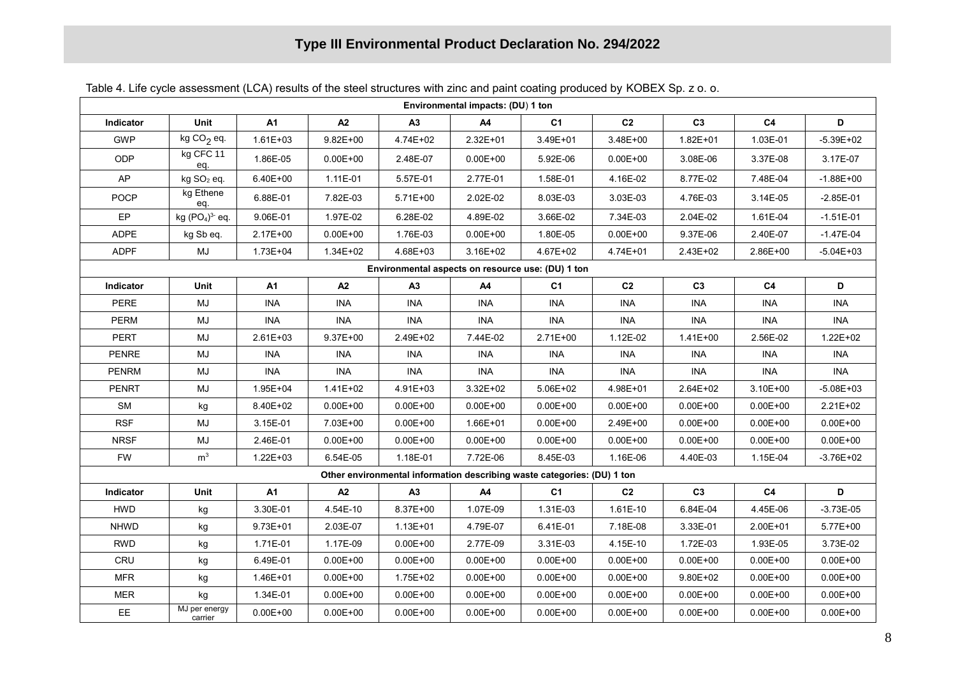### **Type III Environmental Product Declaration No. 294/2022**

| Environmental impacts: (DU) 1 ton                 |                          |              |              |              |                                                                         |                |                |                |                |               |
|---------------------------------------------------|--------------------------|--------------|--------------|--------------|-------------------------------------------------------------------------|----------------|----------------|----------------|----------------|---------------|
| Indicator                                         | Unit                     | A1           | A2           | A3           | A4                                                                      | C <sub>1</sub> | C <sub>2</sub> | C <sub>3</sub> | C4             | D             |
| <b>GWP</b>                                        | kg CO <sub>2</sub> eq.   | 1.61E+03     | $9.82E + 00$ | 4.74E+02     | 2.32E+01                                                                | 3.49E+01       | 3.48E+00       | 1.82E+01       | 1.03E-01       | $-5.39E + 02$ |
| ODP                                               | kg CFC 11<br>eq.         | 1.86E-05     | $0.00E + 00$ | 2.48E-07     | $0.00E + 00$                                                            | 5.92E-06       | $0.00E + 00$   | 3.08E-06       | 3.37E-08       | 3.17E-07      |
| AP                                                | kg SO <sub>2</sub> eq.   | 6.40E+00     | 1.11E-01     | 5.57E-01     | 2.77E-01                                                                | 1.58E-01       | 4.16E-02       | 8.77E-02       | 7.48E-04       | $-1.88E + 00$ |
| <b>POCP</b>                                       | kg Ethene<br>eq.         | 6.88E-01     | 7.82E-03     | $5.71E+00$   | 2.02E-02                                                                | 8.03E-03       | 3.03E-03       | 4.76E-03       | 3.14E-05       | $-2.85E-01$   |
| EP                                                | kg $(PO4)3$ eq.          | 9.06E-01     | 1.97E-02     | 6.28E-02     | 4.89E-02                                                                | 3.66E-02       | 7.34E-03       | 2.04E-02       | 1.61E-04       | $-1.51E-01$   |
| <b>ADPE</b>                                       | kg Sb eq.                | 2.17E+00     | $0.00E + 00$ | 1.76E-03     | $0.00E + 00$                                                            | 1.80E-05       | $0.00E + 00$   | 9.37E-06       | 2.40E-07       | $-1.47E-04$   |
| <b>ADPF</b>                                       | MJ                       | 1.73E+04     | $1.34E + 02$ | 4.68E+03     | 3.16E+02                                                                | 4.67E+02       | 4.74E+01       | 2.43E+02       | 2.86E+00       | $-5.04E + 03$ |
| Environmental aspects on resource use: (DU) 1 ton |                          |              |              |              |                                                                         |                |                |                |                |               |
| Indicator                                         | Unit                     | <b>A1</b>    | A2           | А3           | A4                                                                      | C1             | C <sub>2</sub> | C <sub>3</sub> | C <sub>4</sub> | D             |
| <b>PERE</b>                                       | MJ                       | INA          | INA          | <b>INA</b>   | <b>INA</b>                                                              | <b>INA</b>     | <b>INA</b>     | <b>INA</b>     | INA            | <b>INA</b>    |
| <b>PERM</b>                                       | MJ                       | <b>INA</b>   | <b>INA</b>   | <b>INA</b>   | <b>INA</b>                                                              | <b>INA</b>     | <b>INA</b>     | <b>INA</b>     | <b>INA</b>     | <b>INA</b>    |
| <b>PERT</b>                                       | MJ                       | $2.61E + 03$ | $9.37E + 00$ | 2.49E+02     | 7.44E-02                                                                | 2.71E+00       | 1.12E-02       | $1.41E + 00$   | 2.56E-02       | $1.22E + 02$  |
| <b>PENRE</b>                                      | MJ                       | <b>INA</b>   | INA          | <b>INA</b>   | <b>INA</b>                                                              | <b>INA</b>     | <b>INA</b>     | <b>INA</b>     | <b>INA</b>     | <b>INA</b>    |
| <b>PENRM</b>                                      | MJ                       | <b>INA</b>   | <b>INA</b>   | <b>INA</b>   | <b>INA</b>                                                              | <b>INA</b>     | <b>INA</b>     | <b>INA</b>     | <b>INA</b>     | <b>INA</b>    |
| <b>PENRT</b>                                      | MJ                       | 1.95E+04     | $1.41E + 02$ | 4.91E+03     | $3.32E + 02$                                                            | 5.06E+02       | 4.98E+01       | 2.64E+02       | $3.10E + 00$   | $-5.08E + 03$ |
| SM                                                | kg                       | 8.40E+02     | $0.00E + 00$ | $0.00E + 00$ | $0.00E + 00$                                                            | $0.00E + 00$   | $0.00E + 00$   | $0.00E + 00$   | $0.00E + 00$   | 2.21E+02      |
| <b>RSF</b>                                        | MJ                       | 3.15E-01     | 7.03E+00     | $0.00E + 00$ | 1.66E+01                                                                | $0.00E + 00$   | 2.49E+00       | $0.00E + 00$   | $0.00E + 00$   | $0.00E + 00$  |
| <b>NRSF</b>                                       | MJ                       | 2.46E-01     | $0.00E + 00$ | $0.00E + 00$ | $0.00E + 00$                                                            | $0.00E + 00$   | $0.00E + 00$   | $0.00E + 00$   | $0.00E + 00$   | $0.00E + 00$  |
| <b>FW</b>                                         | m <sup>3</sup>           | $1.22E + 03$ | 6.54E-05     | 1.18E-01     | 7.72E-06                                                                | 8.45E-03       | 1.16E-06       | 4.40E-03       | 1.15E-04       | $-3.76E + 02$ |
|                                                   |                          |              |              |              | Other environmental information describing waste categories: (DU) 1 ton |                |                |                |                |               |
| Indicator                                         | Unit                     | <b>A1</b>    | A2           | A3           | A4                                                                      | C <sub>1</sub> | C <sub>2</sub> | C3             | C <sub>4</sub> | D             |
| <b>HWD</b>                                        | kg                       | 3.30E-01     | 4.54E-10     | 8.37E+00     | 1.07E-09                                                                | 1.31E-03       | 1.61E-10       | 6.84E-04       | 4.45E-06       | $-3.73E-05$   |
| <b>NHWD</b>                                       | kg                       | 9.73E+01     | 2.03E-07     | $1.13E + 01$ | 4.79E-07                                                                | 6.41E-01       | 7.18E-08       | 3.33E-01       | 2.00E+01       | 5.77E+00      |
| <b>RWD</b>                                        | kg                       | 1.71E-01     | 1.17E-09     | $0.00E + 00$ | 2.77E-09                                                                | 3.31E-03       | 4.15E-10       | 1.72E-03       | 1.93E-05       | 3.73E-02      |
| CRU                                               | kg                       | 6.49E-01     | $0.00E + 00$ | $0.00E + 00$ | $0.00E + 00$                                                            | $0.00E + 00$   | $0.00E + 00$   | $0.00E + 00$   | $0.00E + 00$   | $0.00E + 00$  |
| <b>MFR</b>                                        | kg                       | 1.46E+01     | $0.00E + 00$ | 1.75E+02     | $0.00E + 00$                                                            | $0.00E + 00$   | $0.00E + 00$   | $9.80E + 02$   | $0.00E + 00$   | $0.00E + 00$  |
| <b>MER</b>                                        | kg                       | 1.34E-01     | $0.00E + 00$ | $0.00E + 00$ | $0.00E + 00$                                                            | $0.00E + 00$   | $0.00E + 00$   | $0.00E + 00$   | $0.00E + 00$   | $0.00E + 00$  |
| EE.                                               | MJ per energy<br>carrier | $0.00E + 00$ | $0.00E + 00$ | $0.00E + 00$ | $0.00E + 00$                                                            | $0.00E + 00$   | $0.00E + 00$   | $0.00E + 00$   | $0.00E + 00$   | $0.00E + 00$  |

Table 4. Life cycle assessment (LCA) results of the steel structures with zinc and paint coating produced by KOBEX Sp. z o. o.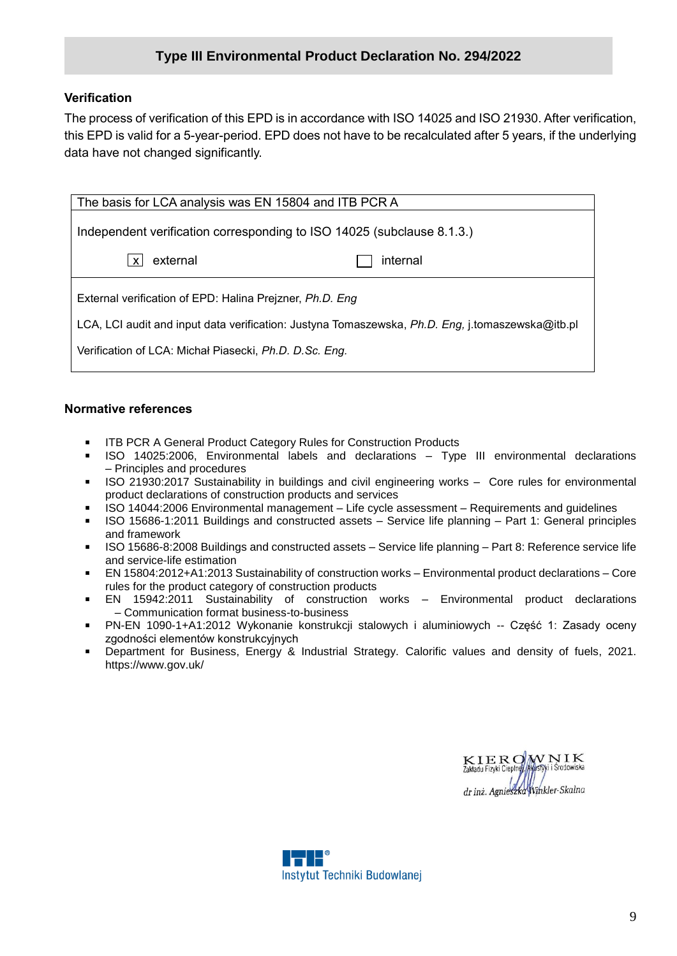#### **Type III Environmental Product Declaration No. 294/2022**

#### **Verification**

The process of verification of this EPD is in accordance with ISO 14025 and ISO 21930. After verification, this EPD is valid for a 5-year-period. EPD does not have to be recalculated after 5 years, if the underlying data have not changed significantly.

| The basis for LCA analysis was EN 15804 and ITB PCR A                                            |          |  |  |  |  |  |  |  |  |
|--------------------------------------------------------------------------------------------------|----------|--|--|--|--|--|--|--|--|
|                                                                                                  |          |  |  |  |  |  |  |  |  |
| Independent verification corresponding to ISO 14025 (subclause 8.1.3.)                           |          |  |  |  |  |  |  |  |  |
|                                                                                                  |          |  |  |  |  |  |  |  |  |
| external<br>$\boldsymbol{\mathsf{x}}$                                                            | internal |  |  |  |  |  |  |  |  |
|                                                                                                  |          |  |  |  |  |  |  |  |  |
| External verification of EPD: Halina Prejzner, Ph.D. Eng                                         |          |  |  |  |  |  |  |  |  |
| LCA, LCI audit and input data verification: Justyna Tomaszewska, Ph.D. Eng, j.tomaszewska@itb.pl |          |  |  |  |  |  |  |  |  |
| Verification of LCA: Michał Piasecki, Ph.D. D.Sc. Eng.                                           |          |  |  |  |  |  |  |  |  |
|                                                                                                  |          |  |  |  |  |  |  |  |  |

#### **Normative references**

- ITB PCR A General Product Category Rules for Construction Products
- ISO 14025:2006, Environmental labels and declarations Type III environmental declarations – Principles and procedures
- **ISO 21930:2017 Sustainability in buildings and civil engineering works Core rules for environmental** product declarations of construction products and services
- ISO 14044:2006 Environmental management Life cycle assessment Requirements and guidelines
- ISO 15686-1:2011 Buildings and constructed assets Service life planning Part 1: General principles and framework
- ISO 15686-8:2008 Buildings and constructed assets Service life planning Part 8: Reference service life and service-life estimation
- EN 15804:2012+A1:2013 Sustainability of construction works Environmental product declarations Core rules for the product category of construction products
- EN 15942:2011 Sustainability of construction works Environmental product declarations – Communication format business-to-business
- PN-EN 1090-1+A1:2012 Wykonanie konstrukcji stalowych i aluminiowych -- Część 1: Zasady oceny zgodności elementów konstrukcyjnych
- Department for Business, Energy & Industrial Strategy. Calorific values and density of fuels, 2021. https://www.gov.uk/